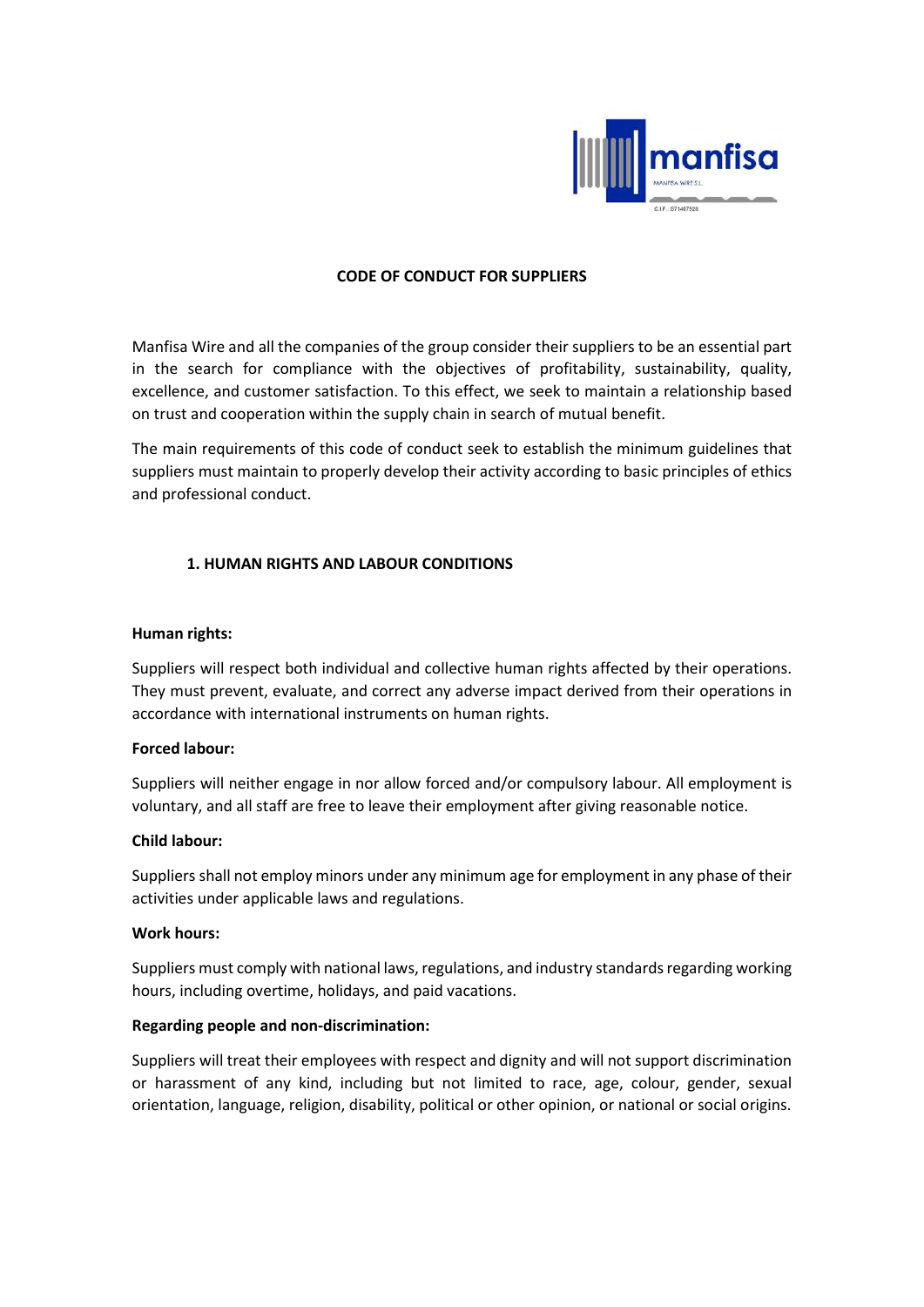

### CODE OF CONDUCT FOR SUPPLIERS

Manfisa Wire and all the companies of the group consider their suppliers to be an essential part in the search for compliance with the objectives of profitability, sustainability, quality, excellence, and customer satisfaction. To this effect, we seek to maintain a relationship based on trust and cooperation within the supply chain in search of mutual benefit.

The main requirements of this code of conduct seek to establish the minimum guidelines that suppliers must maintain to properly develop their activity according to basic principles of ethics and professional conduct.

# 1. HUMAN RIGHTS AND LABOUR CONDITIONS

#### Human rights:

Suppliers will respect both individual and collective human rights affected by their operations. They must prevent, evaluate, and correct any adverse impact derived from their operations in accordance with international instruments on human rights.

#### Forced labour:

Suppliers will neither engage in nor allow forced and/or compulsory labour. All employment is voluntary, and all staff are free to leave their employment after giving reasonable notice.

#### Child labour:

Suppliers shall not employ minors under any minimum age for employment in any phase of their activities under applicable laws and regulations.

#### Work hours:

Suppliers must comply with national laws, regulations, and industry standards regarding working hours, including overtime, holidays, and paid vacations.

#### Regarding people and non-discrimination:

Suppliers will treat their employees with respect and dignity and will not support discrimination or harassment of any kind, including but not limited to race, age, colour, gender, sexual orientation, language, religion, disability, political or other opinion, or national or social origins.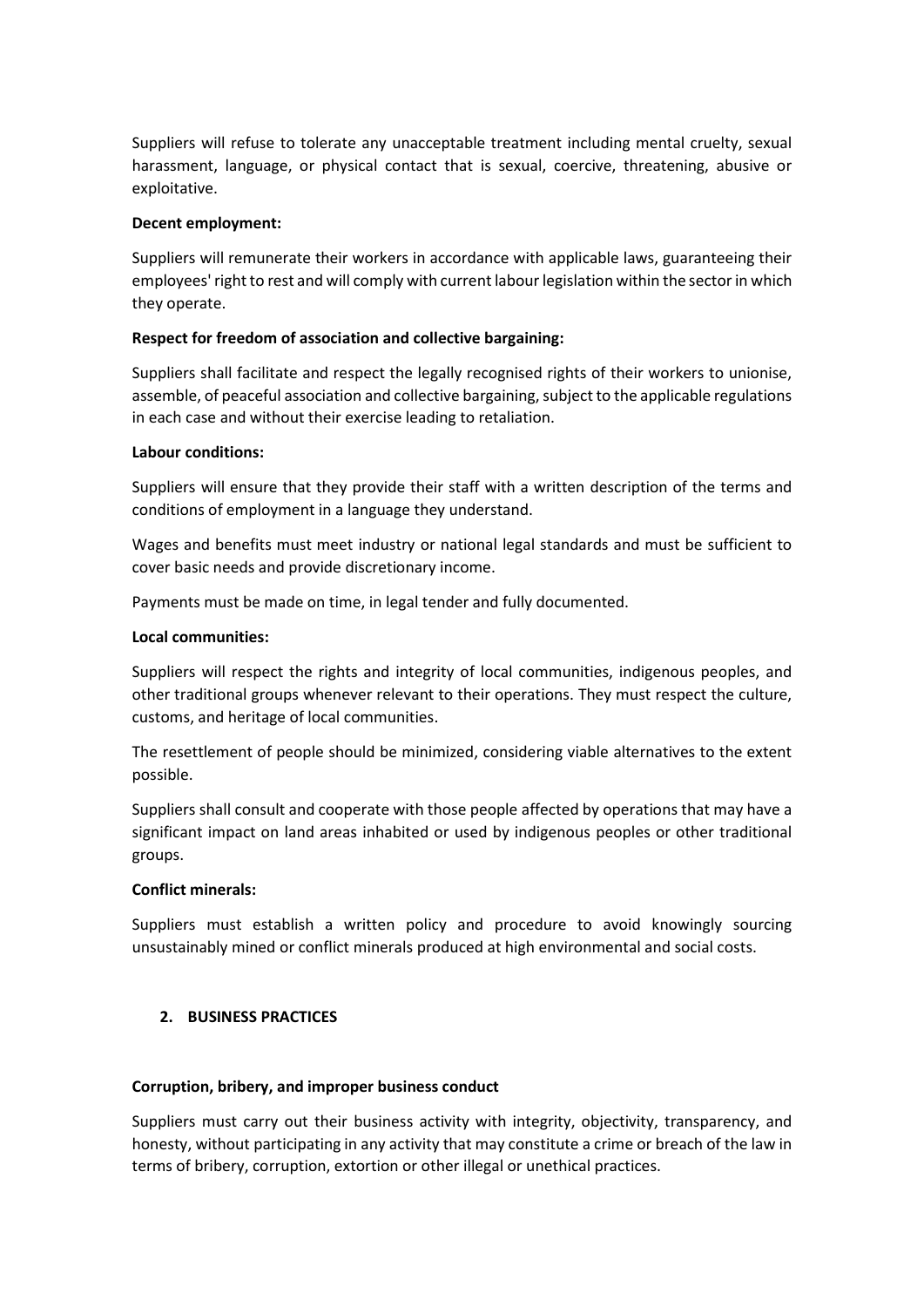Suppliers will refuse to tolerate any unacceptable treatment including mental cruelty, sexual harassment, language, or physical contact that is sexual, coercive, threatening, abusive or exploitative.

### Decent employment:

Suppliers will remunerate their workers in accordance with applicable laws, guaranteeing their employees' right to rest and will comply with current labour legislation within the sector in which they operate.

# Respect for freedom of association and collective bargaining:

Suppliers shall facilitate and respect the legally recognised rights of their workers to unionise, assemble, of peaceful association and collective bargaining, subject to the applicable regulations in each case and without their exercise leading to retaliation.

## Labour conditions:

Suppliers will ensure that they provide their staff with a written description of the terms and conditions of employment in a language they understand.

Wages and benefits must meet industry or national legal standards and must be sufficient to cover basic needs and provide discretionary income.

Payments must be made on time, in legal tender and fully documented.

## Local communities:

Suppliers will respect the rights and integrity of local communities, indigenous peoples, and other traditional groups whenever relevant to their operations. They must respect the culture, customs, and heritage of local communities.

The resettlement of people should be minimized, considering viable alternatives to the extent possible.

Suppliers shall consult and cooperate with those people affected by operations that may have a significant impact on land areas inhabited or used by indigenous peoples or other traditional groups.

### Conflict minerals:

Suppliers must establish a written policy and procedure to avoid knowingly sourcing unsustainably mined or conflict minerals produced at high environmental and social costs.

# 2. BUSINESS PRACTICES

#### Corruption, bribery, and improper business conduct

Suppliers must carry out their business activity with integrity, objectivity, transparency, and honesty, without participating in any activity that may constitute a crime or breach of the law in terms of bribery, corruption, extortion or other illegal or unethical practices.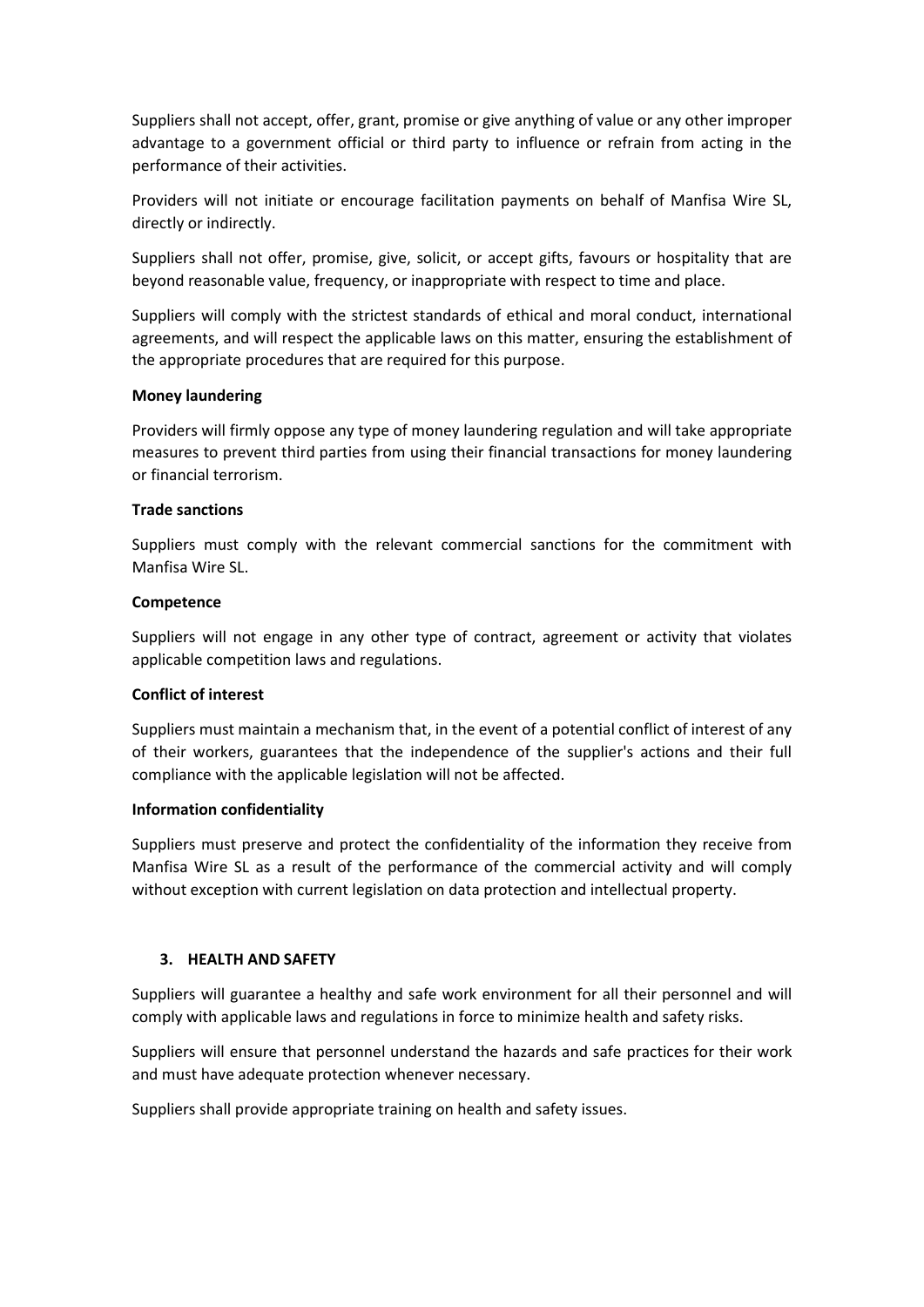Suppliers shall not accept, offer, grant, promise or give anything of value or any other improper advantage to a government official or third party to influence or refrain from acting in the performance of their activities.

Providers will not initiate or encourage facilitation payments on behalf of Manfisa Wire SL, directly or indirectly.

Suppliers shall not offer, promise, give, solicit, or accept gifts, favours or hospitality that are beyond reasonable value, frequency, or inappropriate with respect to time and place.

Suppliers will comply with the strictest standards of ethical and moral conduct, international agreements, and will respect the applicable laws on this matter, ensuring the establishment of the appropriate procedures that are required for this purpose.

#### Money laundering

Providers will firmly oppose any type of money laundering regulation and will take appropriate measures to prevent third parties from using their financial transactions for money laundering or financial terrorism.

## Trade sanctions

Suppliers must comply with the relevant commercial sanctions for the commitment with Manfisa Wire SL.

## **Competence**

Suppliers will not engage in any other type of contract, agreement or activity that violates applicable competition laws and regulations.

# Conflict of interest

Suppliers must maintain a mechanism that, in the event of a potential conflict of interest of any of their workers, guarantees that the independence of the supplier's actions and their full compliance with the applicable legislation will not be affected.

#### Information confidentiality

Suppliers must preserve and protect the confidentiality of the information they receive from Manfisa Wire SL as a result of the performance of the commercial activity and will comply without exception with current legislation on data protection and intellectual property.

# 3. HEALTH AND SAFETY

Suppliers will guarantee a healthy and safe work environment for all their personnel and will comply with applicable laws and regulations in force to minimize health and safety risks.

Suppliers will ensure that personnel understand the hazards and safe practices for their work and must have adequate protection whenever necessary.

Suppliers shall provide appropriate training on health and safety issues.